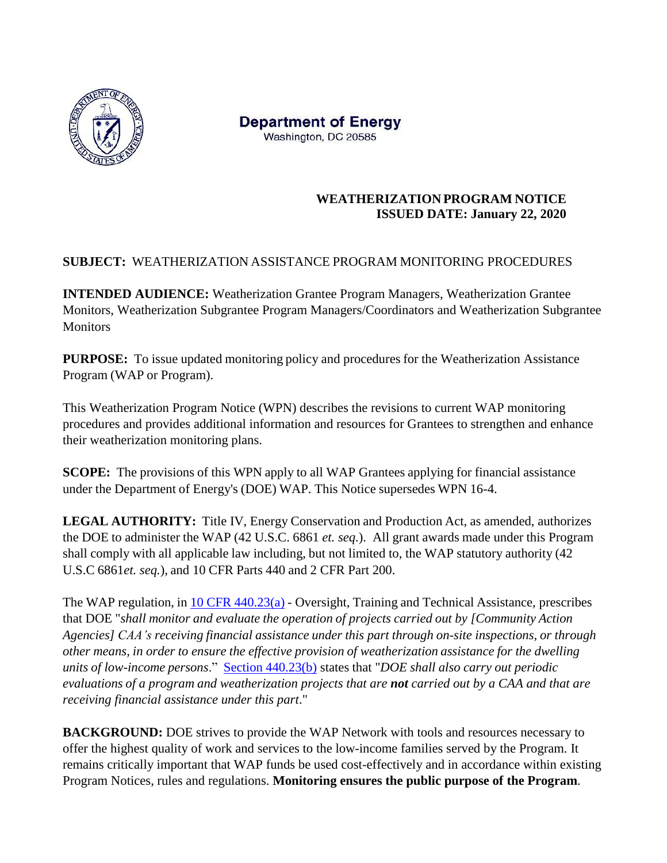

**Department of Energy** Washington, DC 20585

### **WEATHERIZATION PROGRAM NOTICE ISSUED DATE: January 22, 2020**

### **SUBJECT:** WEATHERIZATION ASSISTANCE PROGRAM MONITORING PROCEDURES

**INTENDED AUDIENCE:** Weatherization Grantee Program Managers, Weatherization Grantee Monitors, Weatherization Subgrantee Program Managers/Coordinators and Weatherization Subgrantee **Monitors** 

**PURPOSE:** To issue updated monitoring policy and procedures for the Weatherization Assistance Program (WAP or Program).

This Weatherization Program Notice (WPN) describes the revisions to current WAP monitoring procedures and provides additional information and resources for Grantees to strengthen and enhance their weatherization monitoring plans.

**SCOPE:** The provisions of this WPN apply to all WAP Grantees applying for financial assistance under the Department of Energy's (DOE) WAP. This Notice supersedes WPN 16-4.

**LEGAL AUTHORITY:** Title IV, Energy Conservation and Production Act, as amended, authorizes the DOE to administer the WAP (42 U.S.C. 6861 *et. seq.*). All grant awards made under this Program shall comply with all applicable law including, but not limited to, the WAP statutory authority (42 U.S.C 6861*et. seq.*), and 10 CFR Parts 440 and 2 CFR Part 200.

The WAP regulation, in 10 CFR [440.23\(a\)](https://www.ecfr.gov/cgi-bin/text-idx?SID=a3d581d53e3699f080adc5cb266d518e&mc=true&node=se10.3.440_123&rgn=div8) - Oversight, Training and Technical Assistance, prescribes that DOE "*shall monitor and evaluate the operation of projects carried out by [Community Action Agencies] CAA's receiving financial assistance under this part through on-site inspections, or through other means, in order to ensure the effective provision of weatherization assistance for the dwelling units of low-income persons*." Section [440.23\(b\)](https://www.ecfr.gov/cgi-bin/text-idx?SID=a3d581d53e3699f080adc5cb266d518e&mc=true&node=se10.3.440_123&rgn=div8) states that "*DOE shall also carry out periodic evaluations of a program and weatherization projects that are not carried out by a CAA and that are receiving financial assistance under this part*."

**BACKGROUND:** DOE strives to provide the WAP Network with tools and resources necessary to offer the highest quality of work and services to the low-income families served by the Program. It remains critically important that WAP funds be used cost-effectively and in accordance within existing Program Notices, rules and regulations. **Monitoring ensures the public purpose of the Program**.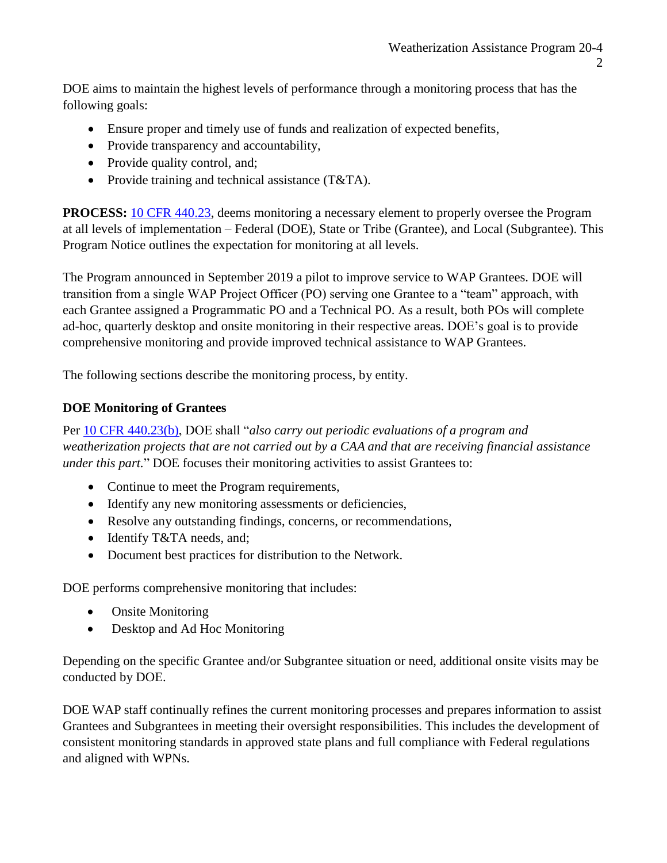DOE aims to maintain the highest levels of performance through a monitoring process that has the following goals:

- Ensure proper and timely use of funds and realization of expected benefits,
- Provide transparency and accountability,
- Provide quality control, and;
- Provide training and technical assistance (T&TA).

**PROCESS:** [10 CFR 440.23,](https://www.ecfr.gov/cgi-bin/text-idx?SID=a3d581d53e3699f080adc5cb266d518e&mc=true&node=se10.3.440_123&rgn=div8) deems monitoring a necessary element to properly oversee the Program at all levels of implementation – Federal (DOE), State or Tribe (Grantee), and Local (Subgrantee). This Program Notice outlines the expectation for monitoring at all levels.

The Program announced in September 2019 a pilot to improve service to WAP Grantees. DOE will transition from a single WAP Project Officer (PO) serving one Grantee to a "team" approach, with each Grantee assigned a Programmatic PO and a Technical PO. As a result, both POs will complete ad-hoc, quarterly desktop and onsite monitoring in their respective areas. DOE's goal is to provide comprehensive monitoring and provide improved technical assistance to WAP Grantees.

The following sections describe the monitoring process, by entity.

#### **DOE Monitoring of Grantees**

Per [10 CFR 440.23\(b\),](https://ecfr.io/Title-10/se10.3.440_123) DOE shall "*also carry out periodic evaluations of a program and weatherization projects that are not carried out by a CAA and that are receiving financial assistance under this part.*" DOE focuses their monitoring activities to assist Grantees to:

- Continue to meet the Program requirements,
- Identify any new monitoring assessments or deficiencies,
- Resolve any outstanding findings, concerns, or recommendations,
- Identify T&TA needs, and;
- Document best practices for distribution to the Network.

DOE performs comprehensive monitoring that includes:

- Onsite Monitoring
- Desktop and Ad Hoc Monitoring

Depending on the specific Grantee and/or Subgrantee situation or need, additional onsite visits may be conducted by DOE.

DOE WAP staff continually refines the current monitoring processes and prepares information to assist Grantees and Subgrantees in meeting their oversight responsibilities. This includes the development of consistent monitoring standards in approved state plans and full compliance with Federal regulations and aligned with WPNs.

 $\mathcal{D}_{\mathcal{L}}$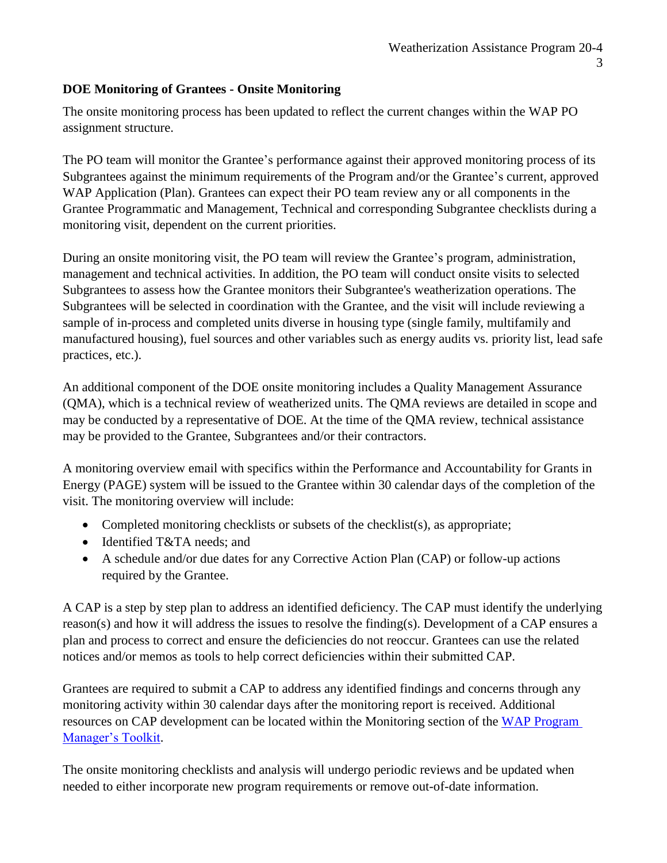### **DOE Monitoring of Grantees - Onsite Monitoring**

The onsite monitoring process has been updated to reflect the current changes within the WAP PO assignment structure.

The PO team will monitor the Grantee's performance against their approved monitoring process of its Subgrantees against the minimum requirements of the Program and/or the Grantee's current, approved WAP Application (Plan). Grantees can expect their PO team review any or all components in the Grantee Programmatic and Management, Technical and corresponding Subgrantee checklists during a monitoring visit, dependent on the current priorities.

During an onsite monitoring visit, the PO team will review the Grantee's program, administration, management and technical activities. In addition, the PO team will conduct onsite visits to selected Subgrantees to assess how the Grantee monitors their Subgrantee's weatherization operations. The Subgrantees will be selected in coordination with the Grantee, and the visit will include reviewing a sample of in-process and completed units diverse in housing type (single family, multifamily and manufactured housing), fuel sources and other variables such as energy audits vs. priority list, lead safe practices, etc.).

An additional component of the DOE onsite monitoring includes a Quality Management Assurance (QMA), which is a technical review of weatherized units. The QMA reviews are detailed in scope and may be conducted by a representative of DOE. At the time of the QMA review, technical assistance may be provided to the Grantee, Subgrantees and/or their contractors.

A monitoring overview email with specifics within the Performance and Accountability for Grants in Energy (PAGE) system will be issued to the Grantee within 30 calendar days of the completion of the visit. The monitoring overview will include:

- Completed monitoring checklists or subsets of the checklist(s), as appropriate;
- Identified T&TA needs; and
- A schedule and/or due dates for any Corrective Action Plan (CAP) or follow-up actions required by the Grantee.

A CAP is a step by step plan to address an identified deficiency. The CAP must identify the underlying reason(s) and how it will address the issues to resolve the finding(s). Development of a CAP ensures a plan and process to correct and ensure the deficiencies do not reoccur. Grantees can use the related notices and/or memos as tools to help correct deficiencies within their submitted CAP.

Grantees are required to submit a CAP to address any identified findings and concerns through any monitoring activity within 30 calendar days after the monitoring report is received. Additional resources on CAP development can be located within the Monitoring section of the [WAP Program](https://www.energy.gov/eere/wipo/weatherization-assistance-program-grantee-manager-training-toolkit)  [Manager's Toolkit.](https://www.energy.gov/eere/wipo/weatherization-assistance-program-grantee-manager-training-toolkit)

The onsite monitoring checklists and analysis will undergo periodic reviews and be updated when needed to either incorporate new program requirements or remove out-of-date information.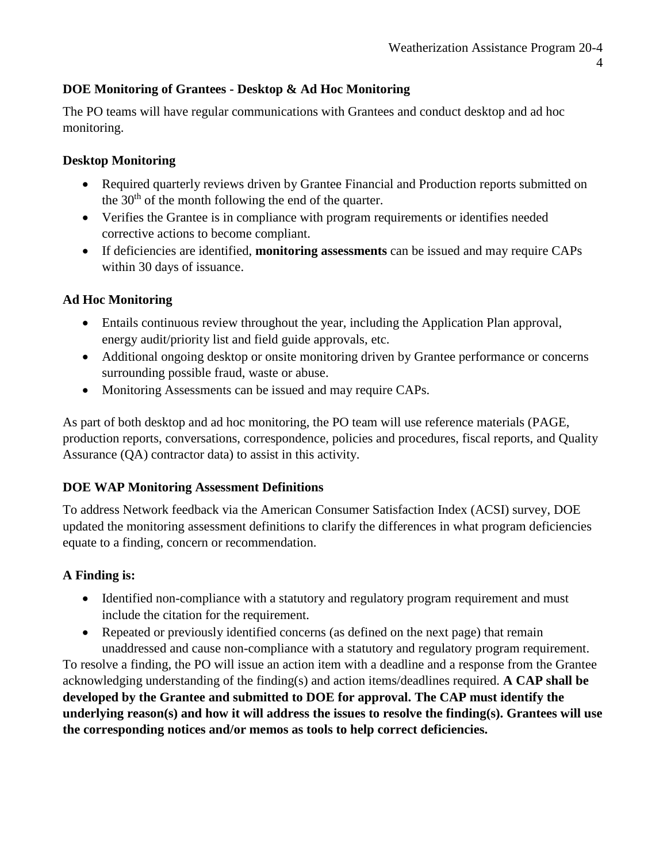### **DOE Monitoring of Grantees - Desktop & Ad Hoc Monitoring**

The PO teams will have regular communications with Grantees and conduct desktop and ad hoc monitoring.

#### **Desktop Monitoring**

- Required quarterly reviews driven by Grantee Financial and Production reports submitted on the  $30<sup>th</sup>$  of the month following the end of the quarter.
- Verifies the Grantee is in compliance with program requirements or identifies needed corrective actions to become compliant.
- If deficiencies are identified, **monitoring assessments** can be issued and may require CAPs within 30 days of issuance.

### **Ad Hoc Monitoring**

- Entails continuous review throughout the year, including the Application Plan approval, energy audit/priority list and field guide approvals, etc.
- Additional ongoing desktop or onsite monitoring driven by Grantee performance or concerns surrounding possible fraud, waste or abuse.
- Monitoring Assessments can be issued and may require CAPs.

As part of both desktop and ad hoc monitoring, the PO team will use reference materials (PAGE, production reports, conversations, correspondence, policies and procedures, fiscal reports, and Quality Assurance (QA) contractor data) to assist in this activity.

#### **DOE WAP Monitoring Assessment Definitions**

To address Network feedback via the American Consumer Satisfaction Index (ACSI) survey, DOE updated the monitoring assessment definitions to clarify the differences in what program deficiencies equate to a finding, concern or recommendation.

### **A Finding is:**

- Identified non-compliance with a statutory and regulatory program requirement and must include the citation for the requirement.
- Repeated or previously identified concerns (as defined on the next page) that remain unaddressed and cause non-compliance with a statutory and regulatory program requirement.

To resolve a finding, the PO will issue an action item with a deadline and a response from the Grantee acknowledging understanding of the finding(s) and action items/deadlines required. **A CAP shall be developed by the Grantee and submitted to DOE for approval. The CAP must identify the underlying reason(s) and how it will address the issues to resolve the finding(s). Grantees will use the corresponding notices and/or memos as tools to help correct deficiencies.**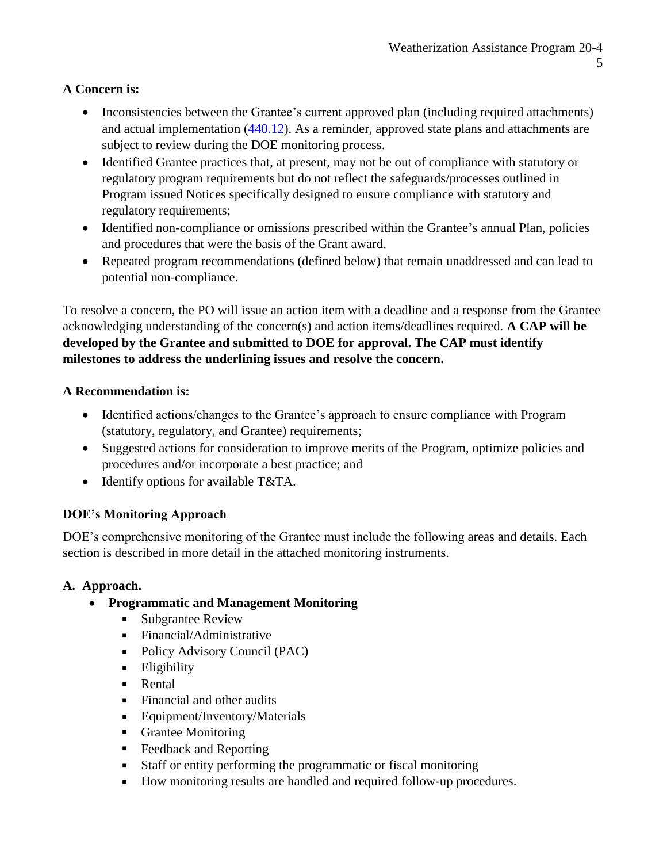## **A Concern is:**

- Inconsistencies between the Grantee's current approved plan (including required attachments) and actual implementation [\(440.12\)](https://www.ecfr.gov/cgi-bin/text-idx?SID=a3d581d53e3699f080adc5cb266d518e&mc=true&node=se10.3.440_112&rgn=div8). As a reminder, approved state plans and attachments are subject to review during the DOE monitoring process.
- Identified Grantee practices that, at present, may not be out of compliance with statutory or regulatory program requirements but do not reflect the safeguards/processes outlined in Program issued Notices specifically designed to ensure compliance with statutory and regulatory requirements;
- Identified non-compliance or omissions prescribed within the Grantee's annual Plan, policies and procedures that were the basis of the Grant award.
- Repeated program recommendations (defined below) that remain unaddressed and can lead to potential non-compliance.

To resolve a concern, the PO will issue an action item with a deadline and a response from the Grantee acknowledging understanding of the concern(s) and action items/deadlines required. **A CAP will be developed by the Grantee and submitted to DOE for approval. The CAP must identify milestones to address the underlining issues and resolve the concern.**

## **A Recommendation is:**

- Identified actions/changes to the Grantee's approach to ensure compliance with Program (statutory, regulatory, and Grantee) requirements;
- Suggested actions for consideration to improve merits of the Program, optimize policies and procedures and/or incorporate a best practice; and
- Identify options for available T&TA.

# **DOE's Monitoring Approach**

DOE's comprehensive monitoring of the Grantee must include the following areas and details. Each section is described in more detail in the attached monitoring instruments.

# **A. Approach.**

- **Programmatic and Management Monitoring**
	- **Subgrantee Review**
	- **Financial/Administrative**
	- Policy Advisory Council (PAC)
	- **Eligibility**
	- **Rental**
	- Financial and other audits
	- **Equipment/Inventory/Materials**
	- **Grantee Monitoring**
	- Feedback and Reporting
	- Staff or entity performing the programmatic or fiscal monitoring
	- How monitoring results are handled and required follow-up procedures.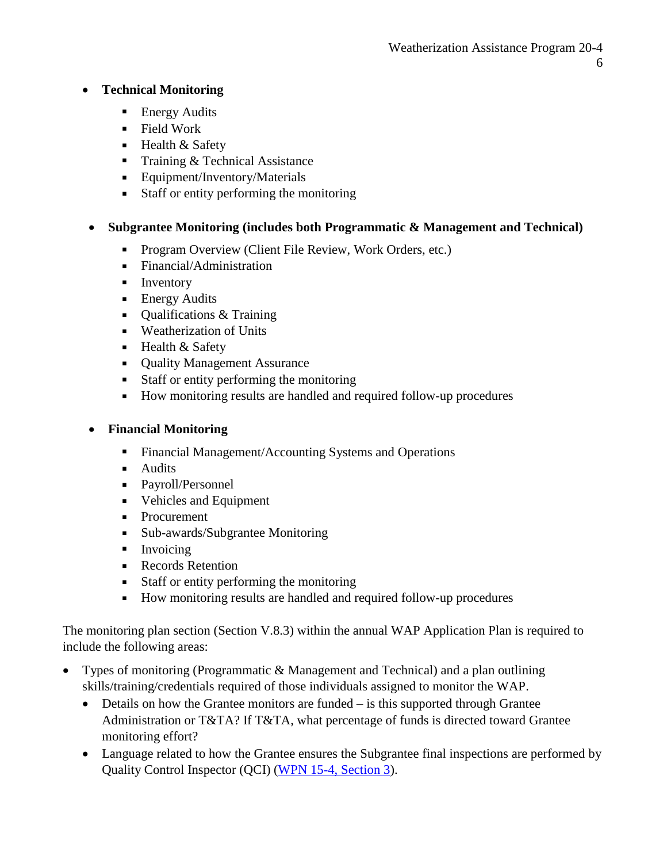### **Technical Monitoring**

- **Energy Audits**
- Field Work
- **Health & Safety**
- Training  $&$  Technical Assistance
- **Equipment/Inventory/Materials**
- Staff or entity performing the monitoring

## **Subgrantee Monitoring (includes both Programmatic & Management and Technical)**

- Program Overview (Client File Review, Work Orders, etc.)
- **Financial/Administration**
- **Inventory**
- **Energy Audits**
- $\blacksquare$  Oualifications & Training
- **Weatherization of Units**
- $\blacksquare$  Health & Safety
- Quality Management Assurance
- Staff or entity performing the monitoring
- How monitoring results are handled and required follow-up procedures

### **Financial Monitoring**

- Financial Management/Accounting Systems and Operations
- **Audits**
- Payroll/Personnel
- Vehicles and Equipment
- Procurement
- Sub-awards/Subgrantee Monitoring
- $\blacksquare$  Invoicing
- **Records Retention**
- Staff or entity performing the monitoring
- How monitoring results are handled and required follow-up procedures

The monitoring plan section (Section V.8.3) within the annual WAP Application Plan is required to include the following areas:

- Types of monitoring (Programmatic & Management and Technical) and a plan outlining skills/training/credentials required of those individuals assigned to monitor the WAP.
	- Details on how the Grantee monitors are funded is this supported through Grantee Administration or T&TA? If T&TA, what percentage of funds is directed toward Grantee monitoring effort?
	- Language related to how the Grantee ensures the Subgrantee final inspections are performed by Quality Control Inspector (QCI) [\(WPN 15-4, Section 3\)](https://www.energy.gov/eere/wipo/downloads/wpn-15-4-quality-work-plan-requirement-update-0).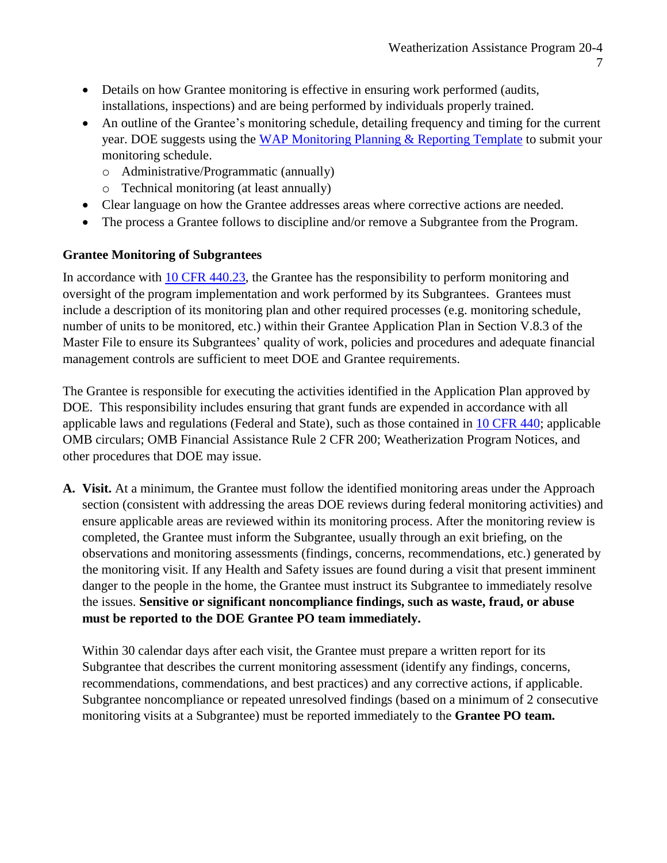- Details on how Grantee monitoring is effective in ensuring work performed (audits, installations, inspections) and are being performed by individuals properly trained.
- An outline of the Grantee's monitoring schedule, detailing frequency and timing for the current year. DOE suggests using the [WAP Monitoring Planning & Reporting Template](https://www.energy.gov/eere/wipo/videos/wap-training-monitoring-planning-and-reporting-template) to submit your monitoring schedule.
	- o Administrative/Programmatic (annually)
	- o Technical monitoring (at least annually)
- Clear language on how the Grantee addresses areas where corrective actions are needed.
- The process a Grantee follows to discipline and/or remove a Subgrantee from the Program.

### **Grantee Monitoring of Subgrantees**

In accordance with [10 CFR 440.23,](https://www.ecfr.gov/cgi-bin/text-idx?SID=a3d581d53e3699f080adc5cb266d518e&mc=true&node=se10.3.440_123&rgn=div8) the Grantee has the responsibility to perform monitoring and oversight of the program implementation and work performed by its Subgrantees. Grantees must include a description of its monitoring plan and other required processes (e.g. monitoring schedule, number of units to be monitored, etc.) within their Grantee Application Plan in Section V.8.3 of the Master File to ensure its Subgrantees' quality of work, policies and procedures and adequate financial management controls are sufficient to meet DOE and Grantee requirements.

The Grantee is responsible for executing the activities identified in the Application Plan approved by DOE. This responsibility includes ensuring that grant funds are expended in accordance with all applicable laws and regulations (Federal and State), such as those contained in 10 [CFR 440;](https://www.ecfr.gov/cgi-bin/text-idx?tpl=/ecfrbrowse/Title10/10cfr440_main_02.tpl) applicable OMB circulars; OMB Financial Assistance Rule 2 CFR 200; Weatherization Program Notices, and other procedures that DOE may issue.

**A. Visit.** At a minimum, the Grantee must follow the identified monitoring areas under the Approach section (consistent with addressing the areas DOE reviews during federal monitoring activities) and ensure applicable areas are reviewed within its monitoring process. After the monitoring review is completed, the Grantee must inform the Subgrantee, usually through an exit briefing, on the observations and monitoring assessments (findings, concerns, recommendations, etc.) generated by the monitoring visit. If any Health and Safety issues are found during a visit that present imminent danger to the people in the home, the Grantee must instruct its Subgrantee to immediately resolve the issues. **Sensitive or significant noncompliance findings, such as waste, fraud, or abuse must be reported to the DOE Grantee PO team immediately.**

Within 30 calendar days after each visit, the Grantee must prepare a written report for its Subgrantee that describes the current monitoring assessment (identify any findings, concerns, recommendations, commendations, and best practices) and any corrective actions, if applicable. Subgrantee noncompliance or repeated unresolved findings (based on a minimum of 2 consecutive monitoring visits at a Subgrantee) must be reported immediately to the **Grantee PO team.**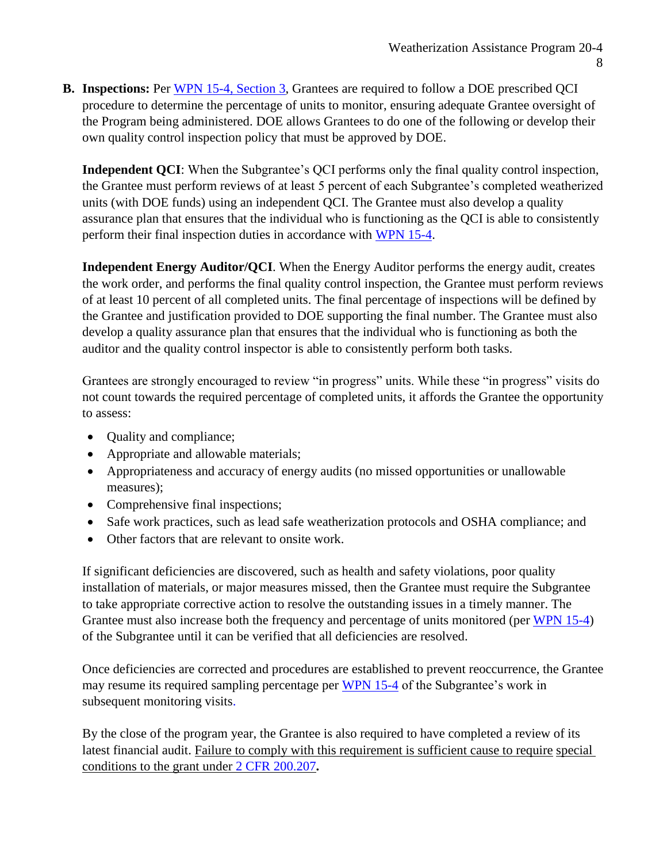**B. Inspections:** Per [WPN 15-4, Section 3,](https://www.energy.gov/eere/wipo/downloads/wpn-15-4-quality-work-plan-requirement-update-0) Grantees are required to follow a DOE prescribed QCI procedure to determine the percentage of units to monitor, ensuring adequate Grantee oversight of the Program being administered. DOE allows Grantees to do one of the following or develop their own quality control inspection policy that must be approved by DOE.

**Independent QCI**: When the Subgrantee's QCI performs only the final quality control inspection, the Grantee must perform reviews of at least 5 percent of each Subgrantee's completed weatherized units (with DOE funds) using an independent QCI. The Grantee must also develop a quality assurance plan that ensures that the individual who is functioning as the QCI is able to consistently perform their final inspection duties in accordance with [WPN 15-4.](https://www.energy.gov/eere/wipo/downloads/wpn-15-4-quality-work-plan-requirement-update-0)

**Independent Energy Auditor/QCI**. When the Energy Auditor performs the energy audit, creates the work order, and performs the final quality control inspection, the Grantee must perform reviews of at least 10 percent of all completed units. The final percentage of inspections will be defined by the Grantee and justification provided to DOE supporting the final number. The Grantee must also develop a quality assurance plan that ensures that the individual who is functioning as both the auditor and the quality control inspector is able to consistently perform both tasks.

Grantees are strongly encouraged to review "in progress" units. While these "in progress" visits do not count towards the required percentage of completed units, it affords the Grantee the opportunity to assess:

- Quality and compliance;
- Appropriate and allowable materials;
- Appropriateness and accuracy of energy audits (no missed opportunities or unallowable measures);
- Comprehensive final inspections;
- Safe work practices, such as lead safe weatherization protocols and OSHA compliance; and
- Other factors that are relevant to onsite work.

If significant deficiencies are discovered, such as health and safety violations, poor quality installation of materials, or major measures missed, then the Grantee must require the Subgrantee to take appropriate corrective action to resolve the outstanding issues in a timely manner. The Grantee must also increase both the frequency and percentage of units monitored (per [WPN 15-4\)](https://www.energy.gov/eere/wipo/downloads/wpn-15-4-quality-work-plan-requirement-update-0) of the Subgrantee until it can be verified that all deficiencies are resolved.

Once deficiencies are corrected and procedures are established to prevent reoccurrence, the Grantee may resume its required sampling percentage per [WPN 15-4](https://www.energy.gov/eere/wipo/downloads/wpn-15-4-quality-work-plan-requirement-update-0) of the Subgrantee's work in subsequent monitoring visits.

By the close of the program year, the Grantee is also required to have completed a review of its latest financial audit. Failure to comply with this requirement is sufficient cause to require special conditions to the grant under [2 CFR 200.207](https://www.ecfr.gov/cgi-bin/text-idx?node=se2.1.200_1207&rgn=div8)**.**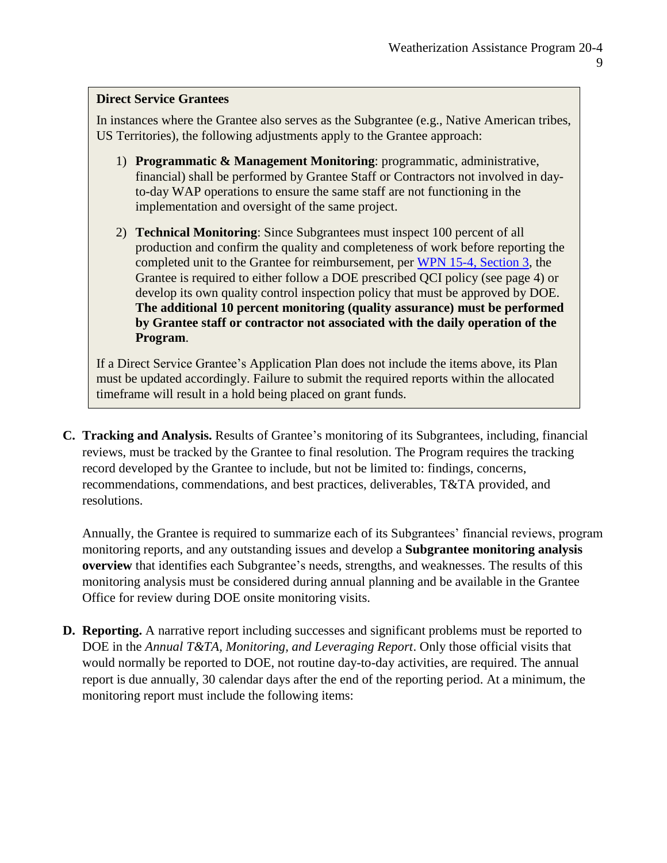#### **Direct Service Grantees**

In instances where the Grantee also serves as the Subgrantee (e.g., Native American tribes, US Territories), the following adjustments apply to the Grantee approach:

- 1) **Programmatic & Management Monitoring**: programmatic, administrative, financial) shall be performed by Grantee Staff or Contractors not involved in dayto-day WAP operations to ensure the same staff are not functioning in the implementation and oversight of the same project.
- 2) **Technical Monitoring**: Since Subgrantees must inspect 100 percent of all production and confirm the quality and completeness of work before reporting the completed unit to the Grantee for reimbursement, per [WPN 15-4, Section 3,](https://www.energy.gov/eere/wipo/downloads/wpn-15-4-quality-work-plan-requirement-update-0) the Grantee is required to either follow a DOE prescribed QCI policy (see page 4) or develop its own quality control inspection policy that must be approved by DOE. **The additional 10 percent monitoring (quality assurance) must be performed by Grantee staff or contractor not associated with the daily operation of the Program**.

If a Direct Service Grantee's Application Plan does not include the items above, its Plan must be updated accordingly. Failure to submit the required reports within the allocated timeframe will result in a hold being placed on grant funds.

**C. Tracking and Analysis.** Results of Grantee's monitoring of its Subgrantees, including, financial reviews, must be tracked by the Grantee to final resolution. The Program requires the tracking record developed by the Grantee to include, but not be limited to: findings, concerns, recommendations, commendations, and best practices, deliverables, T&TA provided, and resolutions.

Annually, the Grantee is required to summarize each of its Subgrantees' financial reviews, program monitoring reports, and any outstanding issues and develop a **Subgrantee monitoring analysis overview** that identifies each Subgrantee's needs, strengths, and weaknesses. The results of this monitoring analysis must be considered during annual planning and be available in the Grantee Office for review during DOE onsite monitoring visits.

**D. Reporting.** A narrative report including successes and significant problems must be reported to DOE in the *Annual T&TA, Monitoring, and Leveraging Report*. Only those official visits that would normally be reported to DOE, not routine day-to-day activities, are required. The annual report is due annually, 30 calendar days after the end of the reporting period. At a minimum, the monitoring report must include the following items: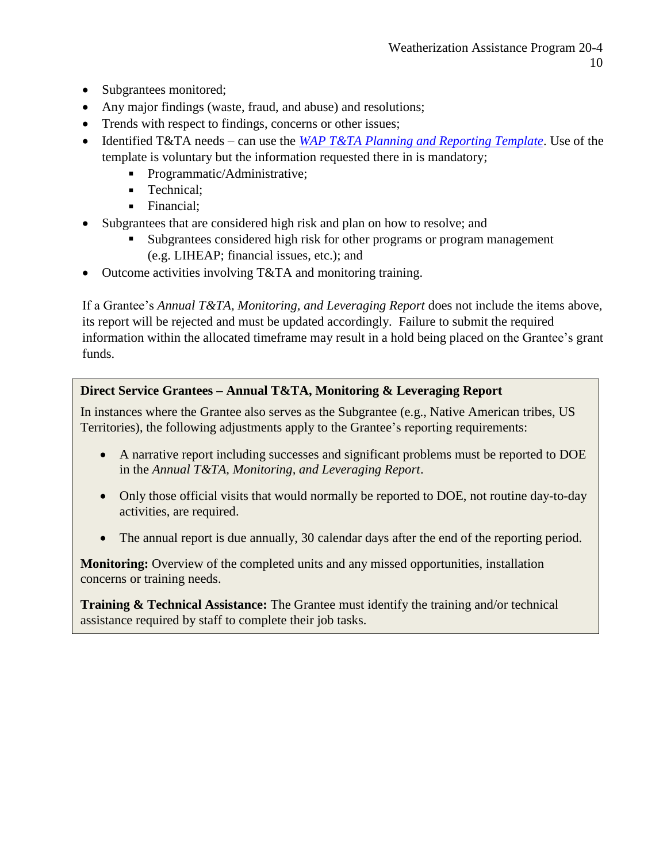- Subgrantees monitored;
- Any major findings (waste, fraud, and abuse) and resolutions;
- Trends with respect to findings, concerns or other issues;
- Identified T&TA needs can use the *[WAP T&TA Planning and Reporting Template](https://www.energy.gov/sites/prod/files/2019/08/f65/TTA%20Planning%20and%20Reporting%20Template_0_0.xlsm)*. Use of the template is voluntary but the information requested there in is mandatory;
	- Programmatic/Administrative;
	- **Technical:**
	- Financial:
- Subgrantees that are considered high risk and plan on how to resolve; and
	- Subgrantees considered high risk for other programs or program management (e.g. LIHEAP; financial issues, etc.); and
- Outcome activities involving T&TA and monitoring training.

If a Grantee's *Annual T&TA, Monitoring, and Leveraging Report* does not include the items above, its report will be rejected and must be updated accordingly. Failure to submit the required information within the allocated timeframe may result in a hold being placed on the Grantee's grant funds.

# **Direct Service Grantees – Annual T&TA, Monitoring & Leveraging Report**

In instances where the Grantee also serves as the Subgrantee (e.g., Native American tribes, US Territories), the following adjustments apply to the Grantee's reporting requirements:

- A narrative report including successes and significant problems must be reported to DOE in the *Annual T&TA, Monitoring, and Leveraging Report*.
- Only those official visits that would normally be reported to DOE, not routine day-to-day activities, are required.
- The annual report is due annually, 30 calendar days after the end of the reporting period.

**Monitoring:** Overview of the completed units and any missed opportunities, installation concerns or training needs.

**Training & Technical Assistance:** The Grantee must identify the training and/or technical assistance required by staff to complete their job tasks.